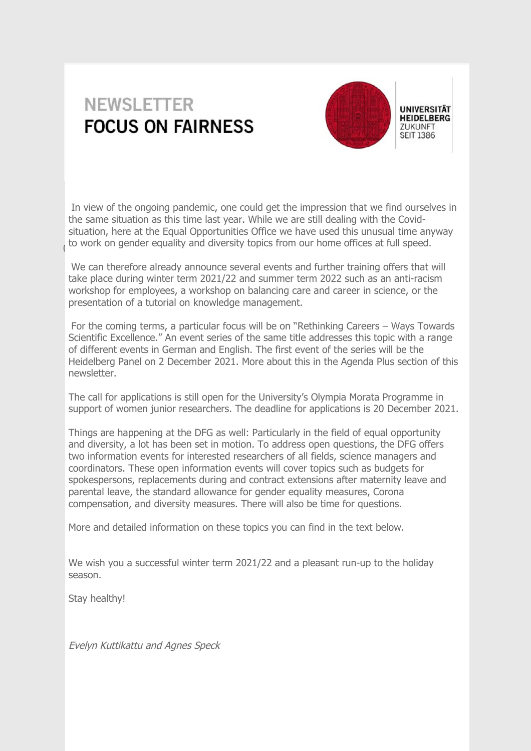# **NEWSLETTER FOCUS ON FAIRNESS**



 $\left($ In view of the ongoing pandemic, one could get the impression that we find ourselves in the same situation as this time last year. While we are still dealing with the Covidsituation, here at the Equal Opportunities Office we have used this unusual time anyway to work on gender equality and diversity topics from our home offices at full speed.

We can therefore already announce several events and further training offers that will take place during winter term 2021/22 and summer term 2022 such as an anti-racism workshop for employees, a workshop on balancing care and career in science, or the presentation of a tutorial on knowledge management.

For the coming terms, a particular focus will be on "Rethinking Careers – Ways Towards Scientific Excellence." An event series of the same title addresses this topic with a range of different events in German and English. The first event of the series will be the Heidelberg Panel on 2 December 2021. More about this in the Agenda Plus section of this newsletter.

The call for applications is still open for the University's Olympia Morata Programme in support of women junior researchers. The deadline for applications is 20 December 2021.

Things are happening at the DFG as well: Particularly in the field of equal opportunity and diversity, a lot has been set in motion. To address open questions, the DFG offers two information events for interested researchers of all fields, science managers and coordinators. These open information events will cover topics such as budgets for spokespersons, replacements during and contract extensions after maternity leave and parental leave, the standard allowance for gender equality measures, Corona compensation, and diversity measures. There will also be time for questions.

More and detailed information on these topics you can find in the text below.

We wish you a successful winter term 2021/22 and a pleasant run-up to the holiday season.

Stay healthy!

Evelyn Kuttikattu and Agnes Speck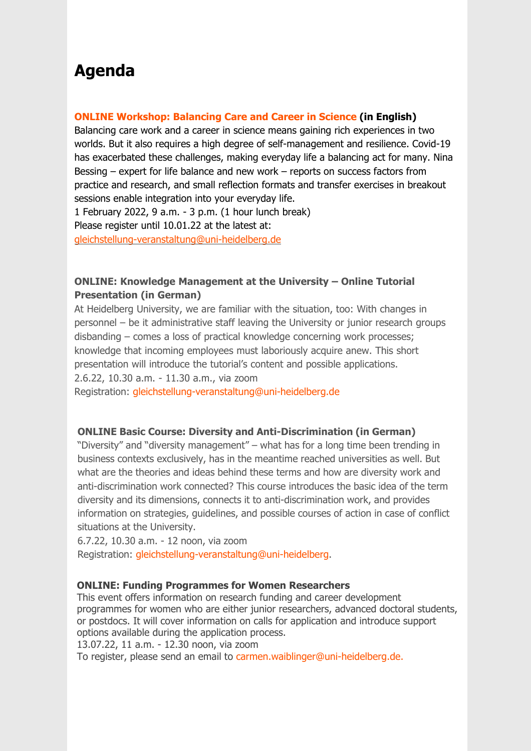## **Agenda**

### **[ONLINE Workshop: Balancing Care and Career in Science \(in English\)](https://www.uni-heidelberg.de/gleichstellungsbeauftragte/index_en.html)**

Balancing care work and a career in science means gaining rich experiences in two worlds. But it also requires a high degree of self-management and resilience. Covid-19 has exacerbated these challenges, making everyday life a balancing act for many. Nina Bessing – expert for life balance and new work – reports on success factors from practice and research, and small reflection formats and transfer exercises in breakout sessions enable integration into your everyday life.

1 February 2022, 9 a.m. - 3 p.m. (1 hour lunch break)

Please register until 10.01.22 at the latest at:

[gleichstellung-veranstaltung@uni-heidelberg.de](mailto:gleichstellung-veranstaltung@uni-heidelberg.de)

## **ONLINE: Knowledge Management at the University – Online Tutorial Presentation (in German)**

At Heidelberg University, we are familiar with the situation, too: With changes in personnel – be it administrative staff leaving the University or junior research groups disbanding – comes a loss of practical knowledge concerning work processes; knowledge that incoming employees must laboriously acquire anew. This short presentation will introduce the tutorial's content and possible applications. 2.6.22, 10.30 a.m. - 11.30 a.m., via zoom Registration: [gleichstellung-veranstaltung@uni-heidelberg.de](mailto:gleichstellung-veranstaltung@uni-heidelberg.de)

### **ONLINE Basic Course: Diversity and Anti-Discrimination (in German)**

"Diversity" and "diversity management" – what has for a long time been trending in business contexts exclusively, has in the meantime reached universities as well. But what are the theories and ideas behind these terms and how are diversity work and anti-discrimination work connected? This course introduces the basic idea of the term diversity and its dimensions, connects it to anti-discrimination work, and provides information on strategies, guidelines, and possible courses of action in case of conflict situations at the University.

6.7.22, 10.30 a.m. - 12 noon, via zoom Registration: [gleichstellung-veranstaltung@uni-heidelberg.](mailto:gleichstellung-veranstaltung@uni-heidelberg.de)

### **ONLINE: Funding Programmes for Women Researchers**

This event offers information on research funding and career development programmes for women who are either junior researchers, advanced doctoral students, or postdocs. It will cover information on calls for application and introduce support options available during the application process.

13.07.22, 11 a.m. - 12.30 noon, via zoom

To register, please send an email t[o carmen.waiblinger@uni-heidelberg.de.](mailto:carmen.waiblinger@uni-heidelberg.de)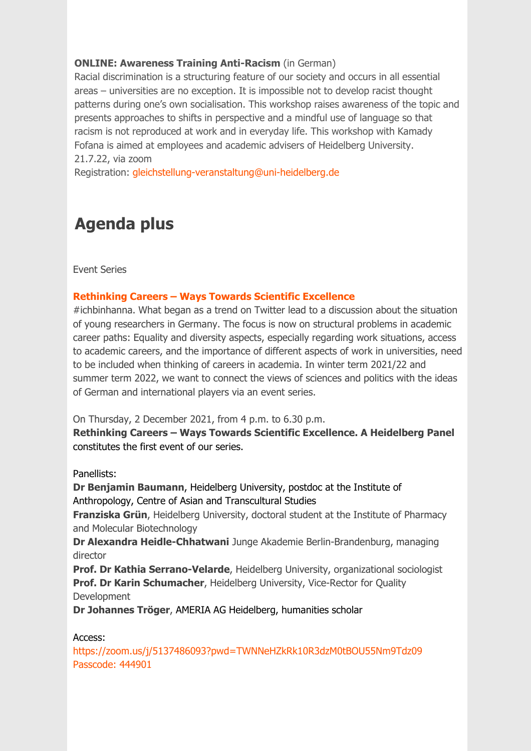### **ONLINE: Awareness Training Anti-Racism** (in German)

Racial discrimination is a structuring feature of our society and occurs in all essential areas – universities are no exception. It is impossible not to develop racist thought patterns during one's own socialisation. This workshop raises awareness of the topic and presents approaches to shifts in perspective and a mindful use of language so that racism is not reproduced at work and in everyday life. This workshop with Kamady Fofana is aimed at employees and academic advisers of Heidelberg University. 21.7.22, via zoom

Registration: [gleichstellung-veranstaltung@uni-heidelberg.de](mailto:gleichstellung-veranstaltung@uni-heidelberg.de)

## **Agenda plus**

Event Series

## **[Rethinking Careers – Ways Towards Scientific Excellence](https://www.uni-heidelberg.de/gleichstellungsbeauftragte/eventseries_en.html)**

#ichbinhanna. What began as a trend on Twitter lead to a discussion about the situation of young researchers in Germany. The focus is now on structural problems in academic career paths: Equality and diversity aspects, especially regarding work situations, access to academic careers, and the importance of different aspects of work in universities, need to be included when thinking of careers in academia. In winter term 2021/22 and summer term 2022, we want to connect the views of sciences and politics with the ideas of German and international players via an event series.

On Thursday, 2 December 2021, from 4 p.m. to 6.30 p.m.

**Rethinking Careers – Ways Towards Scientific Excellence. A Heidelberg Panel** constitutes the first event of our series.

Panellists:

**Dr Benjamin Baumann**, Heidelberg University, postdoc at the Institute of Anthropology, Centre of Asian and Transcultural Studies

**Franziska Grün**, Heidelberg University, doctoral student at the Institute of Pharmacy and Molecular Biotechnology

**Dr Alexandra Heidle-Chhatwani** Junge Akademie Berlin-Brandenburg, managing director

**Prof. Dr Kathia Serrano-Velarde**, Heidelberg University, organizational sociologist **Prof. Dr Karin Schumacher**, Heidelberg University, Vice-Rector for Quality Development

**Dr Johannes Tröger**, AMERIA AG Heidelberg, humanities scholar

### Access:

[https://zoom.us/j/5137486093?pwd=TWNNeHZkRk10R3dzM0tBOU55Nm9Tdz09](https://zoom.us/j/5137486093?pwd=TWNNeHZkRk10R3dzM0tBOU55Nm9Tdz09
Passcode: 444901)  Passcode: 444901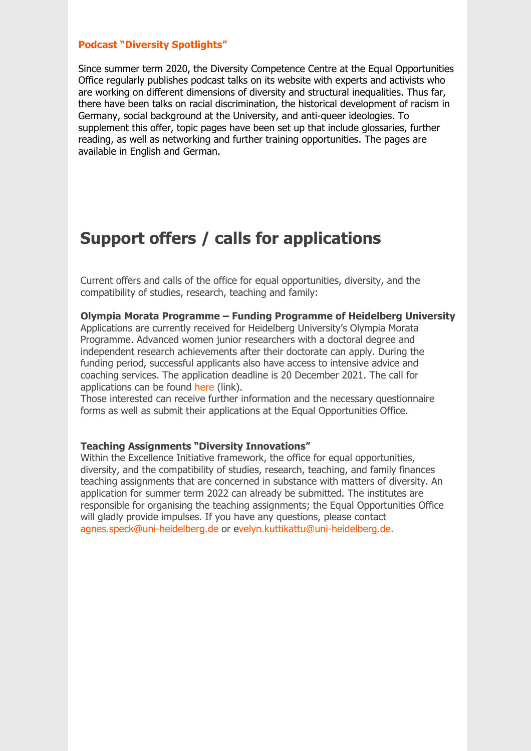#### **[Podcast "Diversity Spotlights"](https://www.uni-heidelberg.de/gleichstellungsbeauftragte/diversity_podcast_en.html)**

Since summer term 2020, the Diversity Competence Centre at the Equal Opportunities Office regularly publishes podcast talks on its website with experts and activists who are working on different dimensions of diversity and structural inequalities. Thus far, there have been talks on racial discrimination, the historical development of racism in Germany, social background at the University, and anti-queer ideologies. To supplement this offer, topic pages have been set up that include glossaries, further reading, as well as networking and further training opportunities. The pages are available in English and German.

## **Support offers / calls for applications**

Current offers and calls of the office for equal opportunities, diversity, and the compatibility of studies, research, teaching and family:

**Olympia Morata Programme – Funding Programme of Heidelberg University**

Applications are currently received for Heidelberg University's Olympia Morata Programme. Advanced women junior researchers with a doctoral degree and independent research achievements after their doctorate can apply. During the funding period, successful applicants also have access to intensive advice and coaching services. The application deadline is 20 December 2021. The call for applications can be found [here \(link\).](https://www.uni-heidelberg.de/md/gsb/diversity/omp_ausschreibungstext_2021_forderbeginn_2022.pdf)

Those interested can receive further information and the necessary questionnaire forms as well as submit their applications at the Equal Opportunities Office.

#### **Teaching Assignments "Diversity Innovations"**

Within the Excellence Initiative framework, the office for equal opportunities, diversity, and the compatibility of studies, research, teaching, and family finances teaching assignments that are concerned in substance with matters of diversity. An application for summer term 2022 can already be submitted. The institutes are responsible for organising the teaching assignments; the Equal Opportunities Office will gladly provide impulses. If you have any questions, please contact [agnes.speck@uni-heidelberg.de o](mailto:agnes.speck@uni-heidelberg.de)r [evelyn.kuttikattu@uni-heidelberg.de](mailto:evelyn.kuttikattu@uni-heidelberg.de).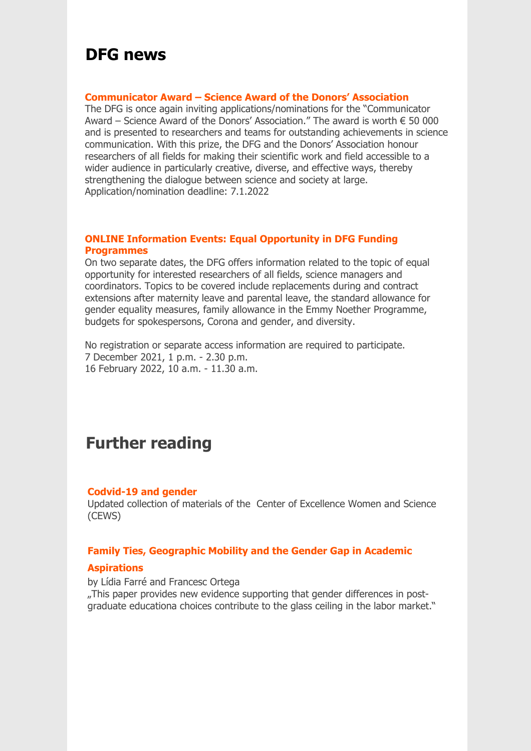## **DFG news**

#### **[Communicator Award – Science Award of the Donors' Association](https://www.dfg.de/service/presse/pressemitteilungen/2021/pressemitteilung_nr_42/index.html)**

The DFG is once again inviting applications/nominations for the "Communicator Award – Science Award of the Donors' Association." The award is worth  $\epsilon$  50 000 and is presented to researchers and teams for outstanding achievements in science communication. With this prize, the DFG and the Donors' Association honour researchers of all fields for making their scientific work and field accessible to a wider audience in particularly creative, diverse, and effective ways, thereby strengthening the dialogue between science and society at large. Application/nomination deadline: 7.1.2022

#### **[ONLINE Information Events: Equal Opportunity in DFG Funding](ttps://www.dfg.de/foerderung/grundlagen_rahmenbedingungen/chancengleichheit/infoveranstaltungen/index.html)  Programmes**

On two separate dates, the DFG offers information related to the topic of equal opportunity for interested researchers of all fields, science managers and coordinators. Topics to be covered include replacements during and contract extensions after maternity leave and parental leave, the standard allowance for gender equality measures, family allowance in the Emmy Noether Programme, budgets for spokespersons, Corona and gender, and diversity.

No registration or separate access information are required to participate. 7 December 2021, 1 p.m. - 2.30 p.m. 16 February 2022, 10 a.m. - 11.30 a.m.

## **Further reading**

#### **C[odvid-19 and gender](https://www.gesis.org/fileadmin/cews/www/download/cov19undGeschlecht_2020-10-19.pdf)**

Updated collection of materials of the Center of Excellence Women and Science (CEWS)

#### **[Family Ties, Geographic Mobility and the Gender Gap in Academic](https://ftp.iza.org/dp14561.pdf)**

#### **Aspirations**

by Lídia Farré and Francesc Ortega "This paper provides new evidence supporting that gender differences in postgraduate educationa choices contribute to the glass ceiling in the labor market."